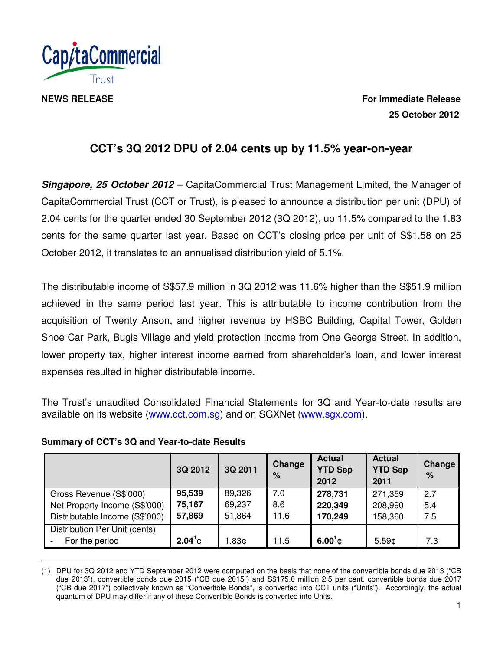

**NEWS RELEASE** For Immediate Release  **25 October 2012** 

# **CCT's 3Q 2012 DPU of 2.04 cents up by 11.5% year-on-year**

**Singapore, 25 October 2012** – CapitaCommercial Trust Management Limited, the Manager of CapitaCommercial Trust (CCT or Trust), is pleased to announce a distribution per unit (DPU) of 2.04 cents for the quarter ended 30 September 2012 (3Q 2012), up 11.5% compared to the 1.83 cents for the same quarter last year. Based on CCT's closing price per unit of S\$1.58 on 25 October 2012, it translates to an annualised distribution yield of 5.1%.

The distributable income of S\$57.9 million in 3Q 2012 was 11.6% higher than the S\$51.9 million achieved in the same period last year. This is attributable to income contribution from the acquisition of Twenty Anson, and higher revenue by HSBC Building, Capital Tower, Golden Shoe Car Park, Bugis Village and yield protection income from One George Street. In addition, lower property tax, higher interest income earned from shareholder's loan, and lower interest expenses resulted in higher distributable income.

The Trust's unaudited Consolidated Financial Statements for 3Q and Year-to-date results are available on its website (www.cct.com.sg) and on SGXNet (www.sgx.com).

|                                | 3Q 2012    | 3Q 2011           | <b>Change</b><br>% | <b>Actual</b><br><b>YTD Sep</b><br>2012 | <b>Actual</b><br><b>YTD Sep</b><br>2011 | Change<br>% |
|--------------------------------|------------|-------------------|--------------------|-----------------------------------------|-----------------------------------------|-------------|
| Gross Revenue (S\$'000)        | 95,539     | 89,326            | 7.0                | 278,731                                 | 271,359                                 | 2.7         |
| Net Property Income (S\$'000)  | 75,167     | 69,237            | 8.6                | 220,349                                 | 208,990                                 | 5.4         |
| Distributable Income (S\$'000) | 57,869     | 51,864            | 11.6               | 170,249                                 | 158,360                                 | 7.5         |
| Distribution Per Unit (cents)  |            |                   |                    |                                         |                                         |             |
| For the period                 | $2.04^1$ ¢ | 1.83 <sub>¢</sub> | 11.5               | $6.00^{1}$ ¢                            | 5.59 <sub>¢</sub>                       | 7.3         |

#### **Summary of CCT's 3Q and Year-to-date Results**

 $\overline{a}$ (1) DPU for 3Q 2012 and YTD September 2012 were computed on the basis that none of the convertible bonds due 2013 ("CB due 2013"), convertible bonds due 2015 ("CB due 2015") and S\$175.0 million 2.5 per cent. convertible bonds due 2017 ("CB due 2017") collectively known as "Convertible Bonds", is converted into CCT units ("Units"). Accordingly, the actual quantum of DPU may differ if any of these Convertible Bonds is converted into Units.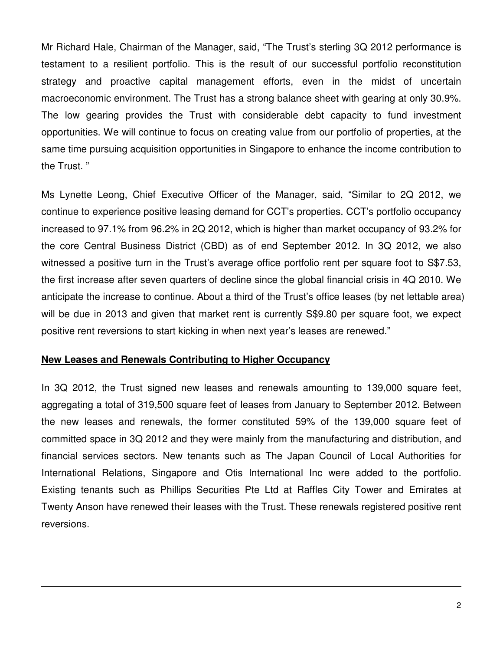Mr Richard Hale, Chairman of the Manager, said, "The Trust's sterling 3Q 2012 performance is testament to a resilient portfolio. This is the result of our successful portfolio reconstitution strategy and proactive capital management efforts, even in the midst of uncertain macroeconomic environment. The Trust has a strong balance sheet with gearing at only 30.9%. The low gearing provides the Trust with considerable debt capacity to fund investment opportunities. We will continue to focus on creating value from our portfolio of properties, at the same time pursuing acquisition opportunities in Singapore to enhance the income contribution to the Trust. "

Ms Lynette Leong, Chief Executive Officer of the Manager, said, "Similar to 2Q 2012, we continue to experience positive leasing demand for CCT's properties. CCT's portfolio occupancy increased to 97.1% from 96.2% in 2Q 2012, which is higher than market occupancy of 93.2% for the core Central Business District (CBD) as of end September 2012. In 3Q 2012, we also witnessed a positive turn in the Trust's average office portfolio rent per square foot to S\$7.53, the first increase after seven quarters of decline since the global financial crisis in 4Q 2010. We anticipate the increase to continue. About a third of the Trust's office leases (by net lettable area) will be due in 2013 and given that market rent is currently S\$9.80 per square foot, we expect positive rent reversions to start kicking in when next year's leases are renewed."

#### **New Leases and Renewals Contributing to Higher Occupancy**

 $\overline{a}$ 

In 3Q 2012, the Trust signed new leases and renewals amounting to 139,000 square feet, aggregating a total of 319,500 square feet of leases from January to September 2012. Between the new leases and renewals, the former constituted 59% of the 139,000 square feet of committed space in 3Q 2012 and they were mainly from the manufacturing and distribution, and financial services sectors. New tenants such as The Japan Council of Local Authorities for International Relations, Singapore and Otis International Inc were added to the portfolio. Existing tenants such as Phillips Securities Pte Ltd at Raffles City Tower and Emirates at Twenty Anson have renewed their leases with the Trust. These renewals registered positive rent reversions.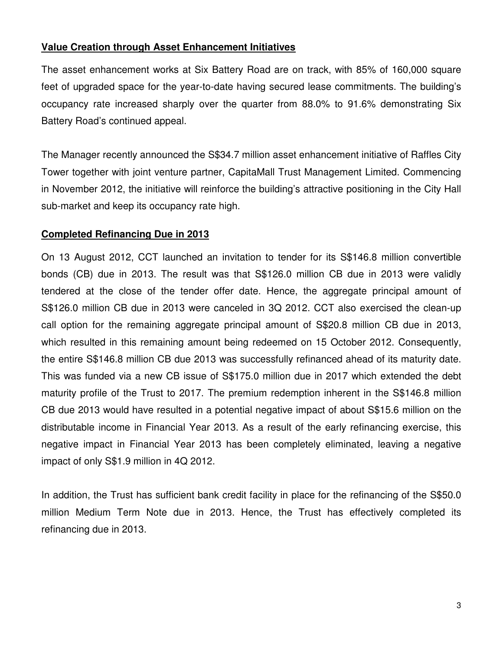# **Value Creation through Asset Enhancement Initiatives**

The asset enhancement works at Six Battery Road are on track, with 85% of 160,000 square feet of upgraded space for the year-to-date having secured lease commitments. The building's occupancy rate increased sharply over the quarter from 88.0% to 91.6% demonstrating Six Battery Road's continued appeal.

The Manager recently announced the S\$34.7 million asset enhancement initiative of Raffles City Tower together with joint venture partner, CapitaMall Trust Management Limited. Commencing in November 2012, the initiative will reinforce the building's attractive positioning in the City Hall sub-market and keep its occupancy rate high.

## **Completed Refinancing Due in 2013**

On 13 August 2012, CCT launched an invitation to tender for its S\$146.8 million convertible bonds (CB) due in 2013. The result was that S\$126.0 million CB due in 2013 were validly tendered at the close of the tender offer date. Hence, the aggregate principal amount of S\$126.0 million CB due in 2013 were canceled in 3Q 2012. CCT also exercised the clean-up call option for the remaining aggregate principal amount of S\$20.8 million CB due in 2013, which resulted in this remaining amount being redeemed on 15 October 2012. Consequently, the entire S\$146.8 million CB due 2013 was successfully refinanced ahead of its maturity date. This was funded via a new CB issue of S\$175.0 million due in 2017 which extended the debt maturity profile of the Trust to 2017. The premium redemption inherent in the S\$146.8 million CB due 2013 would have resulted in a potential negative impact of about S\$15.6 million on the distributable income in Financial Year 2013. As a result of the early refinancing exercise, this negative impact in Financial Year 2013 has been completely eliminated, leaving a negative impact of only S\$1.9 million in 4Q 2012.

In addition, the Trust has sufficient bank credit facility in place for the refinancing of the S\$50.0 million Medium Term Note due in 2013. Hence, the Trust has effectively completed its refinancing due in 2013.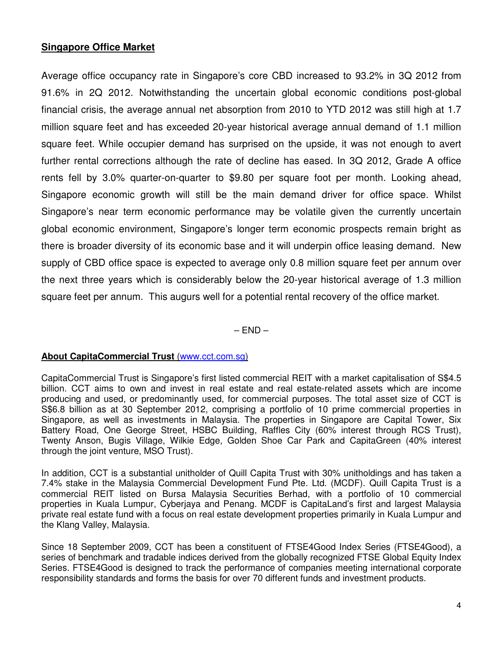## **Singapore Office Market**

Average office occupancy rate in Singapore's core CBD increased to 93.2% in 3Q 2012 from 91.6% in 2Q 2012. Notwithstanding the uncertain global economic conditions post-global financial crisis, the average annual net absorption from 2010 to YTD 2012 was still high at 1.7 million square feet and has exceeded 20-year historical average annual demand of 1.1 million square feet. While occupier demand has surprised on the upside, it was not enough to avert further rental corrections although the rate of decline has eased. In 3Q 2012, Grade A office rents fell by 3.0% quarter-on-quarter to \$9.80 per square foot per month. Looking ahead, Singapore economic growth will still be the main demand driver for office space. Whilst Singapore's near term economic performance may be volatile given the currently uncertain global economic environment, Singapore's longer term economic prospects remain bright as there is broader diversity of its economic base and it will underpin office leasing demand. New supply of CBD office space is expected to average only 0.8 million square feet per annum over the next three years which is considerably below the 20-year historical average of 1.3 million square feet per annum. This augurs well for a potential rental recovery of the office market.

 $-$  END  $-$ 

#### **About CapitaCommercial Trust** (www.cct.com.sg)

CapitaCommercial Trust is Singapore's first listed commercial REIT with a market capitalisation of S\$4.5 billion. CCT aims to own and invest in real estate and real estate-related assets which are income producing and used, or predominantly used, for commercial purposes. The total asset size of CCT is S\$6.8 billion as at 30 September 2012, comprising a portfolio of 10 prime commercial properties in Singapore, as well as investments in Malaysia. The properties in Singapore are Capital Tower, Six Battery Road, One George Street, HSBC Building, Raffles City (60% interest through RCS Trust), Twenty Anson, Bugis Village, Wilkie Edge, Golden Shoe Car Park and CapitaGreen (40% interest through the joint venture, MSO Trust).

In addition, CCT is a substantial unitholder of Quill Capita Trust with 30% unitholdings and has taken a 7.4% stake in the Malaysia Commercial Development Fund Pte. Ltd. (MCDF). Quill Capita Trust is a commercial REIT listed on Bursa Malaysia Securities Berhad, with a portfolio of 10 commercial properties in Kuala Lumpur, Cyberjaya and Penang. MCDF is CapitaLand's first and largest Malaysia private real estate fund with a focus on real estate development properties primarily in Kuala Lumpur and the Klang Valley, Malaysia.

Since 18 September 2009, CCT has been a constituent of FTSE4Good Index Series (FTSE4Good), a series of benchmark and tradable indices derived from the globally recognized FTSE Global Equity Index Series. FTSE4Good is designed to track the performance of companies meeting international corporate responsibility standards and forms the basis for over 70 different funds and investment products.